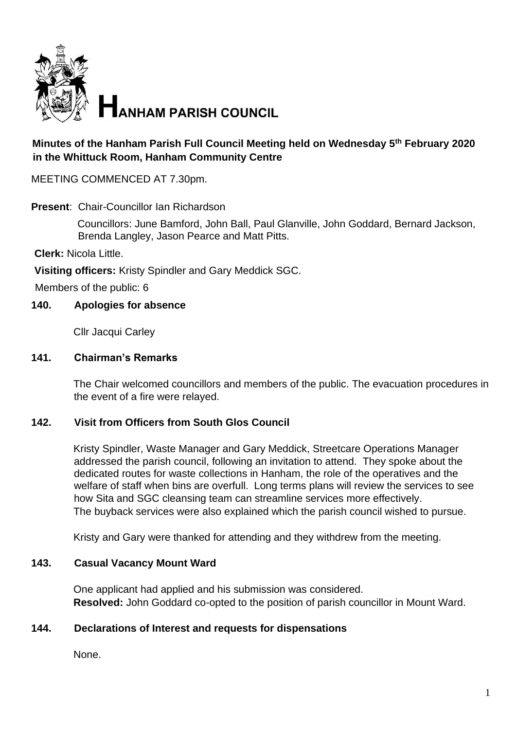

### **Minutes of the Hanham Parish Full Council Meeting held on Wednesday 5th February 2020 in the Whittuck Room, Hanham Community Centre**

MEETING COMMENCED AT 7.30pm.

**Present**: Chair-Councillor Ian Richardson

Councillors: June Bamford, John Ball, Paul Glanville, John Goddard, Bernard Jackson, Brenda Langley, Jason Pearce and Matt Pitts.

**Clerk:** Nicola Little.

**Visiting officers:** Kristy Spindler and Gary Meddick SGC.

Members of the public: 6

#### **140. Apologies for absence**

Cllr Jacqui Carley

#### **141. Chairman's Remarks**

The Chair welcomed councillors and members of the public. The evacuation procedures in the event of a fire were relayed.

#### **142. Visit from Officers from South Glos Council**

Kristy Spindler, Waste Manager and Gary Meddick, Streetcare Operations Manager addressed the parish council, following an invitation to attend. They spoke about the dedicated routes for waste collections in Hanham, the role of the operatives and the welfare of staff when bins are overfull. Long terms plans will review the services to see how Sita and SGC cleansing team can streamline services more effectively. The buyback services were also explained which the parish council wished to pursue.

Kristy and Gary were thanked for attending and they withdrew from the meeting.

#### **143. Casual Vacancy Mount Ward**

One applicant had applied and his submission was considered. **Resolved:** John Goddard co-opted to the position of parish councillor in Mount Ward.

#### **144. Declarations of Interest and requests for dispensations**

None.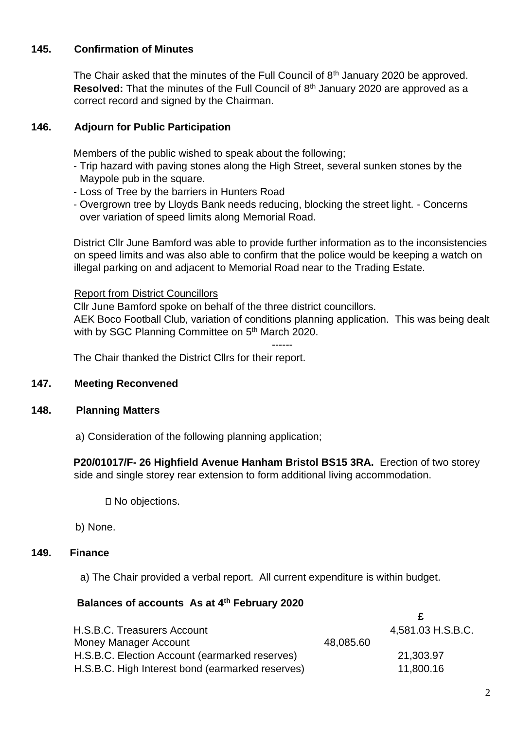## **145. Confirmation of Minutes**

The Chair asked that the minutes of the Full Council of 8<sup>th</sup> January 2020 be approved. **Resolved:** That the minutes of the Full Council of 8<sup>th</sup> January 2020 are approved as a correct record and signed by the Chairman.

## **146. Adjourn for Public Participation**

Members of the public wished to speak about the following;

- Trip hazard with paving stones along the High Street, several sunken stones by the Maypole pub in the square.
- Loss of Tree by the barriers in Hunters Road
- Overgrown tree by Lloyds Bank needs reducing, blocking the street light. Concerns over variation of speed limits along Memorial Road.

District Cllr June Bamford was able to provide further information as to the inconsistencies on speed limits and was also able to confirm that the police would be keeping a watch on illegal parking on and adjacent to Memorial Road near to the Trading Estate.

## Report from District Councillors

Cllr June Bamford spoke on behalf of the three district councillors. AEK Boco Football Club, variation of conditions planning application. This was being dealt with by SGC Planning Committee on 5<sup>th</sup> March 2020.

------

The Chair thanked the District Cllrs for their report.

## **147. Meeting Reconvened**

## **148. Planning Matters**

a) Consideration of the following planning application;

**P20/01017/F- 26 Highfield Avenue Hanham Bristol BS15 3RA.** Erection of two storey side and single storey rear extension to form additional living accommodation.

□ No objections.

b) None.

## **149. Finance**

a) The Chair provided a verbal report. All current expenditure is within budget.

## **Balances of accounts As at 4th February 2020**

| H.S.B.C. Treasurers Account                      |           | 4,581.03 H.S.B.C. |
|--------------------------------------------------|-----------|-------------------|
| Money Manager Account                            | 48,085.60 |                   |
| H.S.B.C. Election Account (earmarked reserves)   |           | 21,303.97         |
| H.S.B.C. High Interest bond (earmarked reserves) |           | 11,800.16         |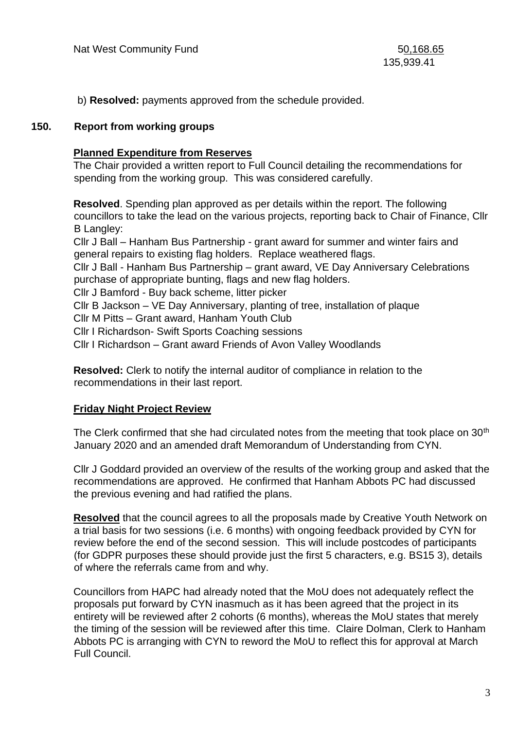b) **Resolved:** payments approved from the schedule provided.

#### **150. Report from working groups**

#### **Planned Expenditure from Reserves**

The Chair provided a written report to Full Council detailing the recommendations for spending from the working group. This was considered carefully.

**Resolved**. Spending plan approved as per details within the report. The following councillors to take the lead on the various projects, reporting back to Chair of Finance, Cllr B Langley:

Cllr J Ball – Hanham Bus Partnership - grant award for summer and winter fairs and general repairs to existing flag holders. Replace weathered flags.

Cllr J Ball - Hanham Bus Partnership – grant award, VE Day Anniversary Celebrations purchase of appropriate bunting, flags and new flag holders.

Cllr J Bamford - Buy back scheme, litter picker

Cllr B Jackson – VE Day Anniversary, planting of tree, installation of plaque

Cllr M Pitts – Grant award, Hanham Youth Club

Cllr I Richardson- Swift Sports Coaching sessions

Cllr I Richardson – Grant award Friends of Avon Valley Woodlands

**Resolved:** Clerk to notify the internal auditor of compliance in relation to the recommendations in their last report.

### **Friday Night Project Review**

The Clerk confirmed that she had circulated notes from the meeting that took place on 30<sup>th</sup> January 2020 and an amended draft Memorandum of Understanding from CYN.

Cllr J Goddard provided an overview of the results of the working group and asked that the recommendations are approved. He confirmed that Hanham Abbots PC had discussed the previous evening and had ratified the plans.

**Resolved** that the council agrees to all the proposals made by Creative Youth Network on a trial basis for two sessions (i.e. 6 months) with ongoing feedback provided by CYN for review before the end of the second session. This will include postcodes of participants (for GDPR purposes these should provide just the first 5 characters, e.g. BS15 3), details of where the referrals came from and why.

Councillors from HAPC had already noted that the MoU does not adequately reflect the proposals put forward by CYN inasmuch as it has been agreed that the project in its entirety will be reviewed after 2 cohorts (6 months), whereas the MoU states that merely the timing of the session will be reviewed after this time. Claire Dolman, Clerk to Hanham Abbots PC is arranging with CYN to reword the MoU to reflect this for approval at March Full Council.